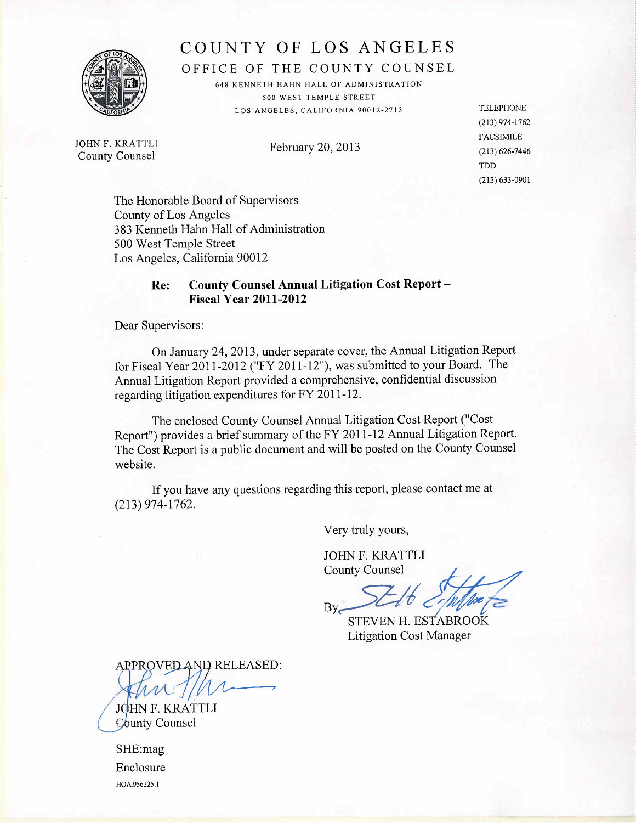

# **COUNTY OF LOS ANGELES** COUNTY OF LOS ANGELES

OFFICE OF THE COUNTY COUNSEL OFFICE OF THE COUNTY COUNSEL

648 KENNETH HAHN HALL OF ADMINISTRATION 648 KENNETH HAHN HALL OF ADMINISTRATION 500 WEST TEMPLE STREET 500 WEST TEMPLE STREET LOS ANGELES, CALIFORNIA 90012-2713 LOS ANGELES, CALIFORNIA 90012-2713

JOHN F. KRA TTL! JOHN F. KRATTLI County Counsel County Counsel

February 20,2013 February 20,2013

TELEPHONE TELEPHONE (213) 974-1762 (213) 974-172 FACSIMILE FACSIMILE (213) 626-7446 (213) 626-7446 TDD TDD (213) 633-0901 (213) 633-090 I

The Honorable Board of Supervisors The Honorable Board of Supervisors County of Los Angeles County of Los Angeles 383 Kenneth Hahn Hall of Administration 383 Kenneth Hahn Hall of Administration 500 West Temple Street 500 West Temple Street Los Angeles, California 90012 Los Angeles, California 90012

# **Re: County Counsel Annual Litigation Cost Report -** Re: County Counsel Annual Litigation Cost Report - **Fiscal Year 2011-2012** Fiscal Year 2011-2012

Dear Supervisors: Dear Supervisors:

On January 24,2013, under separate cover, the Annual Litigation Report On January 24,2013, under separate cover, the Annual Litigation Report for Fiscal Year 2011-2012 ("FY 2011-12"), was submitted to your Board. The for Fiscal Year 201 1-2012 ("FY 2011-12"), was submitted to your Board. The Annual Litigation Report provided a comprehensive, confidential discussion Annual Litigation Report provided a comprehensive, confidential discussion regarding litigation expenditures for FY 2011-12. regarding litigation expenditures for FY 2011-12.

The enclosed County Counsel Annual Litigation Cost Report ("Cost The enclosed County Counsel Annual Litigation Cost Report ("Cost Report") provides a brief summary of the FY 2011-12 Annual Litigation Report. Report") provides a brief summary of the FY 201 1 - 1 2 Annual Litigation Report. The Cost Report is a public document and will be posted on the County Counsel website. website.

If you have any questions regarding this report, please contact me at If you have any questions regarding this report, please contact me at (213) 974-1762. (213) 974-1762.

Very truly yours, Very truly yours,

JOHN F. KRATTLI JOHN F. KRATTLI

County Counsel<br>By<br>Call Complete  $By$  SELO EMINE

Litigation Cost Manager Litigation Cost Manager

APPROVED AND RELEASED:

JOHN F. KRATTLI County Counsel

SHE:mag SHE:mag Enclosure Enclosure HOA.956225.I HOA.956225.1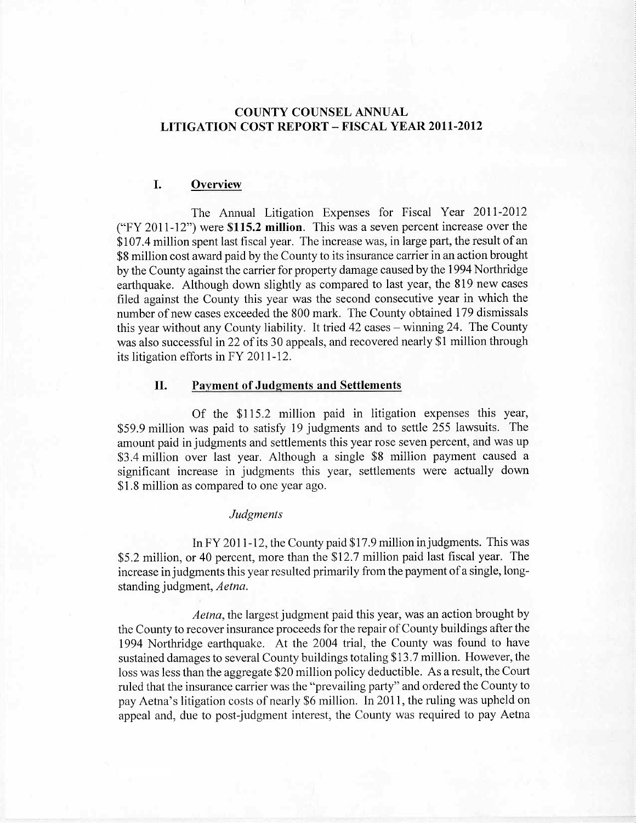## COUNTY COUNSEL ANNUAL COUNTY COUNSEL ANNUAL LITIGATION COST REPORT - FISCAL YEAR 2011-2012 LITIGATION COST REPORT - FISCAL YEAR 2011-2012

## I. Overview

The Annual Litigation Expenses for Fiscal Year 2011-2012 The Annual Litigation Expenses for Fiscal Year 2011-2012 ("FY 2011-12") were \$115.2 million. This was a seven percent increase over the ("FY 2011-12") were \$115.2 millon. This was a seven percent increase over the \$107.4 million spent last fiscal year. The increase was, in large part, the result of an \$107.4 milion spent last fiscal year. The increase was, in large part, the result of an \$8 million cost award paid by the County to its insurance carrier in an action brought \$8 milion cost award paid by the County to its insurance carrier in an action brought by the County against the carrier for property damage caused by the 1994 Northridge by the County against the carrier for property damage caused by the 1994 Northridge earthquake. Although down slightly as compared to last year, the 819 new cases earthquake. Although down slightly as compared to last year, the 819 new cases filed against the County this year was the second consecutive year in which the filed against the County this year was the second consecutive year in which the number of new cases exceeded the 800 mark. The County obtained 179 dismissals number of new cases exceeded the 800 mark. The County obtained 179 dismissals this year without any County liability. It tried 42 cases – winning 24. The County was also successful in 22 of its 30 appeals, and recovered nearly \$1 million through was also successful in 22 of its 30 appeals, and recovered nearly \$1 million through its litigation efforts in FY 2011-12. its litigation efforts in FY 2011 -12.

#### II. Payment of Judgments and Settlements II. Payment of Judgments and Settlements

Of the \$115.2 million paid in litigation expenses this year, Of the \$115.2 million paid in litigation expenses this year, \$59.9 million was paid to satisfy 19 judgments and to settle 255 lawsuits. The \$59.9 milion was paid to satisfy 19 judgments and to settle 255 lawsuits. The amount paid in judgments and settlements this year rose seven percent, and was up amount paid in judgments and settlements this year rose seven percent, and was up \$3.4 million over last year. Although a single \$8 million payment caused a \$3.4 milion over last year. Although a single \$8 millon payment caused a significant increase in judgments this year, settlements were actually down significant increase in judgments this year, settlements were actually down \$1.8 million as compared to one year ago. \$1.8 milion as compared to one year ago.

#### *Judgments* Judgments

In FY 2011-12, the County paid \$17.9 million injudgments. This was In FY 2011-12, the County paid \$17.9 million injudgments. This was \$5.2 million, or 40 percent, more than the \$12.7 million paid last fiscal year. The \$5.2 million, or 40 percent, more than the \$12.7 million paid last fiscal year. The increase in judgments this year resulted primarily from the payment of a single, longstanding judgment, *Aetna.* standing judgment, Aetna.

*Aetna,* the largest judgment paid this year, was an action brought by Aetna, the largest judgment paid this year, was an action brought by the County to recover insurance proceeds for the repair of County buildings after the the County to recover insurance proceeds for the repair of County buildings after the 1994 Northridge earthquake. At the 2004 trial, the County was found to have 1994 Northridge earthquake. At the 2004 trial, the County was found to have sustained damages to several County buildings totaling \$13.7 million. However, the sustained damages to several County buildings totaling \$13.7 milion. However, the loss was less than the aggregate \$20 million policy deductible. As a result, the Court loss was less than the aggregate \$20 milion policy deductible. As a result, the Court ruled that the insurance carrier was the "prevailing party" and ordered the County to pay Aetna's litigation costs of nearly \$6 million. In 2011, the ruling was upheld on pay Aetna's litigation costs of nearly \$6 million. In 2011, the ruling was upheld on appeal and, due to post-judgment interest, the County was required to pay Aetna appeal and, due to post-judgment interest, the County was required to pay Aetna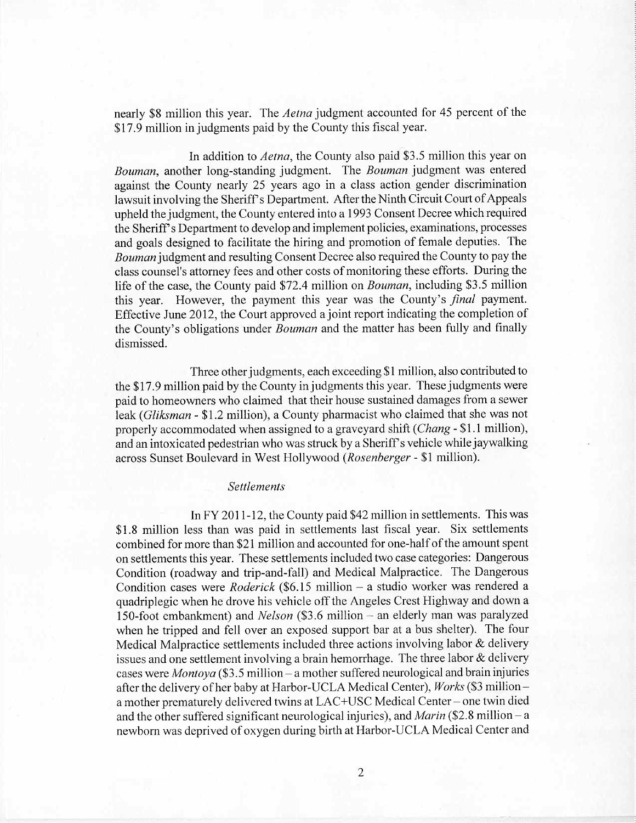nearly \$8 million this year. The *Aetna* judgment accounted for 45 percent of the nearly \$8 million this year. The Aetna judgment accounted for 45 percent of the \$17.9 million in judgments paid by the County this fiscal year. \$17.9 milion in judgments paid by the County this fiscal year.

**In** addition to *Aetna,* the County also paid \$3.5 million this year on In addition to Aetna, the County also paid \$3.5 million this year on *Bouman,* another long-standing judgment. The *Bouman* judgment was entered Bouman, another long-standing judgment. The Bouman judgment was entered against the County nearly 25 years ago in a class action gender discrimination against the County nearly 25 years ago in a class action gender discrimination lawsuit involving the Sheriff s Department. After the Ninth Circuit Court of Appeals lawsuit involving the Sheriff s Department. After the Ninth Circuit Court of Appeals upheld the judgment, the County entered into a 1993 Consent Decree which required upheld the judgment, the County entered into a 1993 Consent Decree which required the Sheriff's Department to develop and implement policies, examinations, processes and goals designed to facilitate the hiring and promotion of female deputies. The and goals designed to facilitate the hiring and promotion of female deputies. The *Bouman* judgment and resulting Consent Decree also required the County to pay the Bouman judgment and resulting Consent Decree also required the County to pay the class counsel's attorney fees and other costs of monitoring these efforts. During the class counsel's attorney fees and other costs of monitoring these efforts. During the life of the case, the County paid \$72.4 million on *Bouman*, including \$3.5 million this year. However, the payment this year was the County's *final* payment. this year. However, the payment this year was the County's final payment. Effective June 2012, the Court approved a joint report indicating the completion of Effective June 2012, the Court approved ajoint report indicating the completion of the County's obligations under *Bouman* and the matter has been fully and finally the County's obligations under Bouman and the matter has been fully and finally dismissed. dismissed.

Three other judgments, each exceeding \$1 million, also contributed to Three other judgments, each exceeding \$1 million, also contributed to the \$17.9 million paid by the County in judgments this year. These judgments were the \$17.9 milion paid by the County in judgments this year. These judgments were paid to homeowners who claimed that their house sustained damages from a sewer paid to homeowners who claimed that their house sustained damages from a sewer leak *(Gliksman -* \$1.2 million), a County pharmacist who claimed that she was not leak (Gliksman - \$1.2 milion), a County pharmacist who claimed that she was not properly accommodated when assigned to a graveyard shift *(Chang* - \$1.1 million), and an intoxicated pedestrian who was struck by a Sheriff s vehicle while jaywalking and an intoxicated pedestrian who was struck by a Sheriff s vehicle while jaywalking across Sunset Boulevard in West Hollywood *(Rosenberger -* \$1 million). across Sunset Boulevard in West Hollywood (Rosenberger - \$1 million).

#### *Settlements* Settlements

**In** FY 2011-12, the County paid \$42 million in settlements. This was In FY 2011-12, the County paid \$42 million in settlements. This was \$1.8 million less than was paid in settlements last fiscal year. Six settlements \$1.8 million less than was paid in settlements last fiscal year. Six settlements combined for more than \$21 million and accounted for one-half of the amount spent on settlements this year. These settlements included two case categories: Dangerous on settlements this year. These settlements included two case categories: Dangerous Condition (roadway and trip-and-fall) and Medical Malpractice. The Dangerous Condition (roadway and trip-and-fall) and Medical Malpractice. The Dangerous Condition cases were *Roderick* (\$6.15 million – a studio worker was rendered a quadriplegic when he drove his vehicle off the Angeles Crest Highway and down a quadriplegic when he drove his vehicle off the Angeles Crest Highway and down a 150-foot embankment) and *Nelson* (\$3.6 million - an elderly man was paralyzed 150-foot embankment) and Nelson (\$3.6 milion - an elderly man was paralyzed when he tripped and fell over an exposed support bar at a bus shelter). The four when he tripped and fell over an exposed support bar at a bus shelter). The four Medical Malpractice settlements included three actions involving labor & delivery Medical Malpractice settlements included three actions involving labor & delivery issues and one settlement involving a brain hemorrhage. The three labor & delivery issues and one settlement involving a brain hemorrhage. The three labor & delivery cases were *Montoya* (\$3.5 million - a mother suffered neurological and brain injuries cases were Montoya (\$3.5 million - a mother suffered neurological and brain injuries after the delivery of her baby at Harbor-UCLA Medical Center), *Works* (\$3 million-after the delivery of her baby at Harbor-UCLA Medical Center), Works (\$3 milliona mother prematurely delivered twins at LAC+USC Medical Center- one twin died a mother prematurely delivered twins at LAC+USC Medical Center - one twin died and the other suffered significant neurological injuries), and *Marin* (\$2.8 million – a newborn was deprived of oxygen during birth at Harbor-UCLA Medical Center and newborn was deprived of oxygen during birth at Harbor-UCLA Medical Center and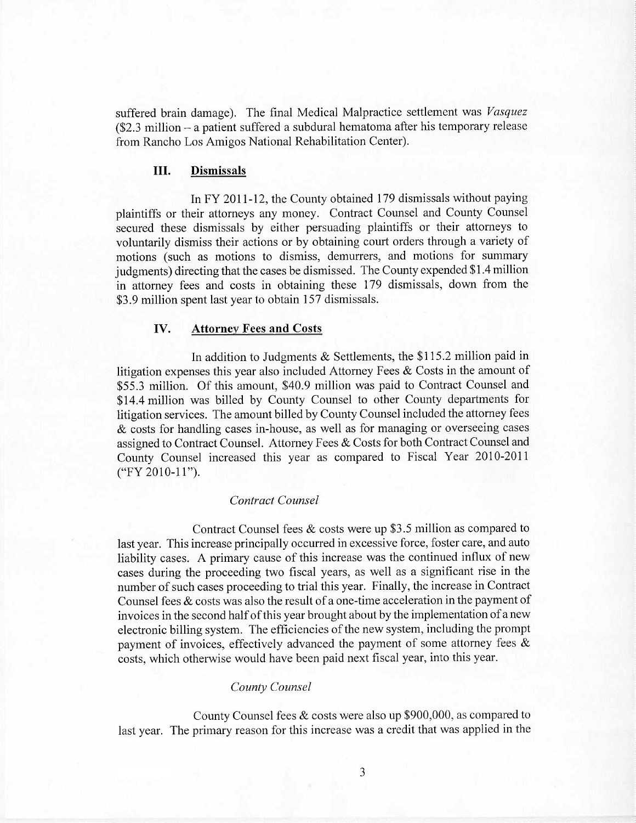suffered brain damage). The final Medical Malpractice settlement was *Vasquez* suffered brain damage). The final Medical Malpractice settlement was Vasquez (\$2.3 million - a patient suffered a subdural hematoma after his temporary release (\$2.3 milion - a patient suffered a subdural hematoma after his temporary release from Rancho Los Amigos National Rehabilitation Center). from Rancho Los Amigos National Rehabilitation Center).

#### **III.** Dismissals III. Dismissals

In FY 2011-12, the County obtained 179 dismissals without paying In FY 2011-12, the County obtained 179 dismissals without paying plaintiffs or their attorneys any money. Contract Counsel and County Counsel plaintiffs or their attorneys any money. Contract Counsel and County Counsel secured these dismissals by either persuading plaintiffs or their attorneys to secured these dismissals by either persuading plaintiffs or their attorneys to voluntarily dismiss their actions or by obtaining court orders through a variety of voluntarily dismiss their actions or by obtaining court orders through a variety of motions (such as motions to dismiss, demurrers, and motions for summary motions (such as motions to dismiss, demurrers, and motions for summary judgments) directing that the cases be dismissed. The County expended \$1.4 million judgments) directing that the cases be dismissed. The County expended \$1.4 milion in attorney fees and costs in obtaining these 179 dismissals, down from the in attorney fees and costs in obtaining these 179 dismissals, down from the \$3.9 million spent last year to obtain 157 dismissals. \$3.9 milion spent last year to obtain 157 dismissals.

## IV. Attorney Fees and Costs IV. Attornev Fees and Costs

In addition to Judgments & Settlements, the \$115.2 million paid in In addition to Judgments & Settlements, the \$115.2 milion paid in litigation expenses this year also included Attorney Fees  $\&$  Costs in the amount of \$55.3 million. Of this amount, \$40.9 million was paid to Contract Counsel and \$55.3 million. Of this amount, \$40.9 million was paid to Contract Counsel and \$14.4 million was billed by County Counsel to other County departments for litigation services. The amount billed by County Counsel included the attorney fees litigation services. The amount biled by County Counsel included the attorney fees & costs for handling cases in-house, as well as for managing or overseeing cases & costs for handling cases in-house, as well as for managing or overseeing cases assigned to Contract Counsel. Attorney Fees & Costs for both Contract Counsel and assigned to Contract CounseL. Attorney Fees & Costs for both Contract Counsel and County Counsel increased this year as compared to Fiscal Year 2010-2011 County Counsel increased this year as compared to Fiscal Year 2010-201 1 ("FY 2010-11").

## *Contract Counsel* Contract Counsel

Contract Counsel fees & costs were up \$3.5 million as compared to Contract Counsel fees & costs were up \$3.5 milion as compared to last year. This increase principally occurred in excessive force, foster care, and auto liability cases. A primary cause of this increase was the continued influx of new liability cases. A primary cause of this increase was the continued influx of new cases during the proceeding two fiscal years, as well as a significant rise in the cases during the proceeding two fiscal years, as well as a significant rise in the number of such cases proceeding to trial this year. Finally, the increase in Contract number of such cases proceeding to trial this year. Finally, the increase in Contract Counsel fees & costs was also the result of a one-time acceleration in the payment of Counsel fees & costs was also the result of a one-time acceleration in the payment of invoices in the second half of this year brought about by the implementation of a new invoices in the second half of this year brought about by the implementation of a new electronic billing system. The efficiencies of the new system, including the prompt electronic biling system. The efficiencies of the new system, including the prompt payment of invoices, effectively advanced the payment of some attorney fees & payment of invoices, effectively advanced the payment of some attorney fees & costs, which otherwise would have been paid next fiscal year, into this year. costs, which otherwise would have been paid next fiscal year, into this year.

#### *County Counsel* County Counsel

County Counsel fees & costs were also up \$900,000, as compared to County Counsel fees & costs were also up \$900,000, as compared to last year. The primary reason for this increase was a credit that was applied in the last year. The primary reason for this increase was a credit that was applied in the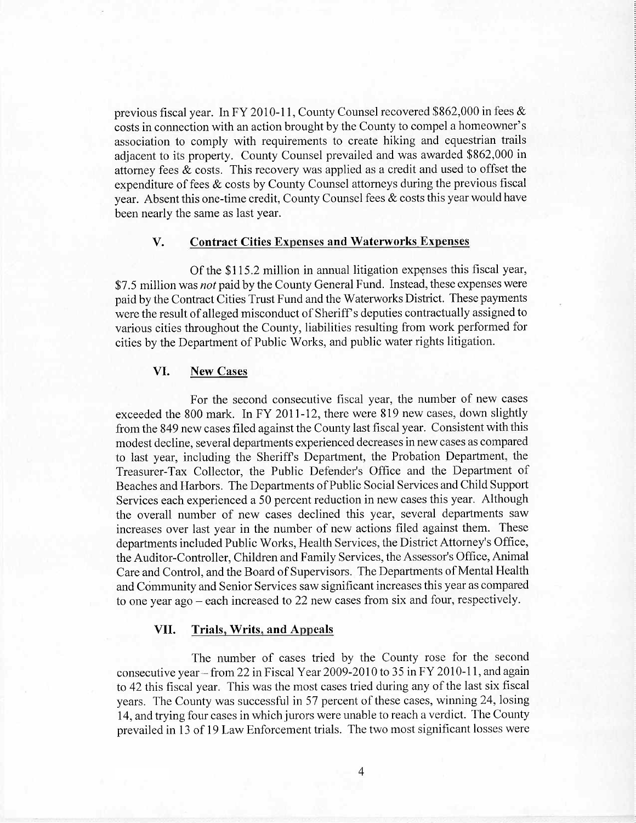previous fiscal year. In FY 2010-11, County Counsel recovered \$862,000 in fees & previous fiscal year. In FY 2010-11, County Counsel recovered \$862,000 in fees & costs in connection with an action brought by the County to compel a homeowner's costs in connection with an action brought by the County to compel a homeowner's association to comply with requirements to create hiking and equestrian trails association to comply with requirements to create hiking and equestrian trails adjacent to its property. County Counsel prevailed and was awarded \$862,000 in adjacent to its property. County Counsel prevailed and was awarded \$862,000 in attorney fees  $\&$  costs. This recovery was applied as a credit and used to offset the expenditure of fees & costs by County Counsel attorneys during the previous fiscal expenditure of fees & costs by County Counsel attorneys during the previous fiscal year. Absent this one-time credit, County Counsel fees  $\&$  costs this year would have been nearly the same as last year. been nearly the same as last year.

## V. Contract Cities Expenses and Waterworks Expenses

Of the \$115.2 million in annual litigation expenses this fiscal year, \$7.5 million was *not* paid by the County General Fund. Instead, these expenses were \$7.5 million was not paid by the County General Fund. Instead, these expenses were paid by the Contract Cities Trust Fund and the Waterworks District. These payments paid by the Contract Cities Trust Fund and the Waterworks District. These payments were the result of alleged misconduct of Sheriff's deputies contractually assigned to were the result of alleged misconduct of Sheriff s deputies contractually assigned to various cities throughout the County, liabilities resulting from work performed for various cities throughout the County, liabilities resulting from work performed for cities by the Department of Public Works, and public water rights litigation. cities by the Department of Public Works, and public water rights litigation.

## VI. New Cases

For the second consecutive fiscal year, the number of new cases For the second consecutive fiscal year, the number of new cases exceeded the 800 mark. In FY 2011-12, there were 819 new cases, down slightly from the 849 new cases filed against the County last fiscal year. Consistent with this from the 849 new cases fied against the County last fiscal year. Consistent with this modest decline, several departments experienced decreases in new cases as compared modest decline, several depaiiments experienced decreases in new cases as compared to last year, including the Sheriffs Department, the Probation Department, the to last year, including the Sheriffs Department, the Probation Department, the Treasurer- Tax Collector, the Public Defender's Office and the Department of Treasurer- Tax Collector, the Public Defender's Office and the Department of Beaches and Harbors. The Departments of Public Social Services and Child Support Beaches and Harbors. The Departments of Public Social Services and Child Support Services each experienced a 50 percent reduction in new cases this year. Although Services each experienced a 50 percent reduction in new cases this year. Although the overall number of new cases declined this year, several departments saw the overall number of new cases declined this year, several departments saw increases over last year in the number of new actions filed against them. These increases over last year in the number of new actions fied against them. These departments included Public Works, Health Services, the District Attorney's Office the Auditor-Controller, Children and Family Services, the Assessor's Office, Animal Care and Control, and the Board of Supervisors. The Departments of Mental Health Care and Control, and the Board of Supervisors. The Departments of Mental Health and Community and Senior Services saw significant increases this year as compared and Community and Senior Services saw significant increases this year as compared to one year ago - each increased to 22 new cases from six and four, respectively. to one year ago - each increased to 22 new cases from six and four, respectively.

## VII. Trials, Writs, and Appeals

The number of cases tried by the County rose for the second The number of cases tried by the County rose for the second consecutive year – from 22 in Fiscal Year 2009-2010 to 35 in FY 2010-11, and again to 42 this fiscal year. This was the most cases tried during any of the last six fiscal to 42 this fiscal year. This was the most cases tried during any of the last six fiscal years. The County was successful in 57 percent of these cases, winning 24, losing years. The County was successful in 57 percent of these cases, winning 24, losing 14, and trying four cases in which jurors were unable to reach a verdict. The County prevailed in 13 of 19 Law Enforcement trials. The two most significant losses were prevailed in 13 of 19 Law Enforcement trials. The two most significant losses were